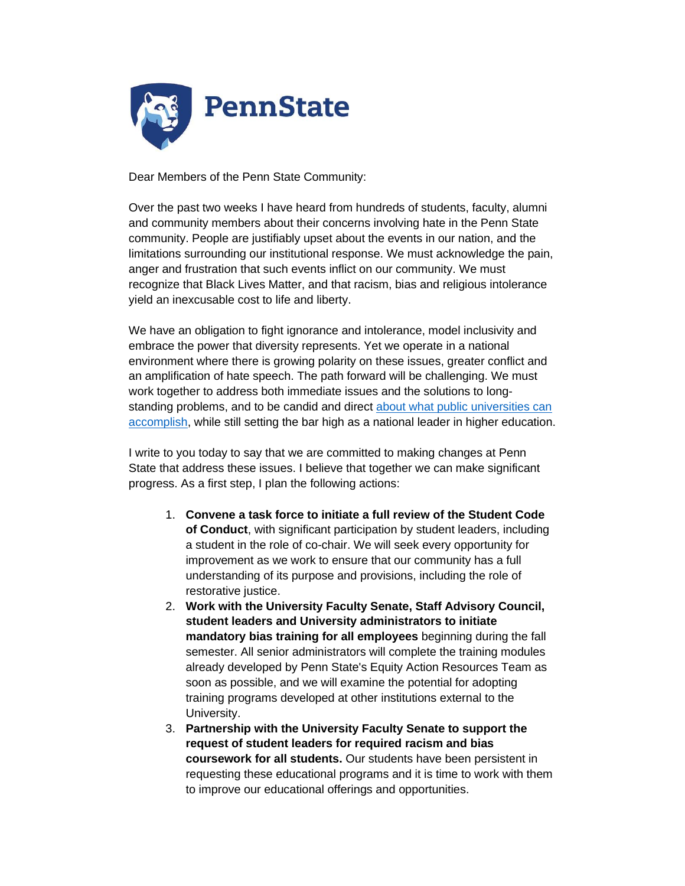

Dear Members of the Penn State Community:

Over the past two weeks I have heard from hundreds of students, faculty, alumni and community members about their concerns involving hate in the Penn State community. People are justifiably upset about the events in our nation, and the limitations surrounding our institutional response. We must acknowledge the pain, anger and frustration that such events inflict on our community. We must recognize that Black Lives Matter, and that racism, bias and religious intolerance yield an inexcusable cost to life and liberty.

We have an obligation to fight ignorance and intolerance, model inclusivity and embrace the power that diversity represents. Yet we operate in a national environment where there is growing polarity on these issues, greater conflict and an amplification of hate speech. The path forward will be challenging. We must work together to address both immediate issues and the solutions to longstanding problems, and to be candid and direct [about what public universities can](https://www.psu.edu/ur/newsdocuments/background-for-the-community.pdf)  [accomplish,](https://www.psu.edu/ur/newsdocuments/background-for-the-community.pdf) while still setting the bar high as a national leader in higher education.

I write to you today to say that we are committed to making changes at Penn State that address these issues. I believe that together we can make significant progress. As a first step, I plan the following actions:

- 1. **Convene a task force to initiate a full review of the Student Code of Conduct**, with significant participation by student leaders, including a student in the role of co-chair. We will seek every opportunity for improvement as we work to ensure that our community has a full understanding of its purpose and provisions, including the role of restorative justice.
- 2. **Work with the University Faculty Senate, Staff Advisory Council, student leaders and University administrators to initiate mandatory bias training for all employees** beginning during the fall semester. All senior administrators will complete the training modules already developed by Penn State's Equity Action Resources Team as soon as possible, and we will examine the potential for adopting training programs developed at other institutions external to the University.
- 3. **Partnership with the University Faculty Senate to support the request of student leaders for required racism and bias coursework for all students.** Our students have been persistent in requesting these educational programs and it is time to work with them to improve our educational offerings and opportunities.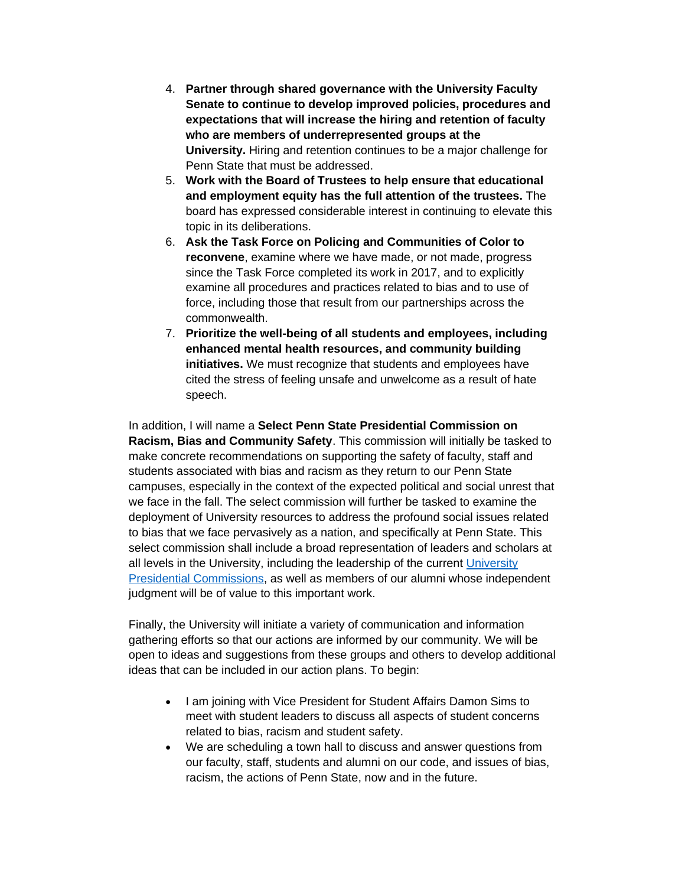- 4. **Partner through shared governance with the University Faculty Senate to continue to develop improved policies, procedures and expectations that will increase the hiring and retention of faculty who are members of underrepresented groups at the University.** Hiring and retention continues to be a major challenge for Penn State that must be addressed.
- 5. **Work with the Board of Trustees to help ensure that educational and employment equity has the full attention of the trustees.** The board has expressed considerable interest in continuing to elevate this topic in its deliberations.
- 6. **Ask the Task Force on Policing and Communities of Color to reconvene**, examine where we have made, or not made, progress since the Task Force completed its work in 2017, and to explicitly examine all procedures and practices related to bias and to use of force, including those that result from our partnerships across the commonwealth.
- 7. **Prioritize the well-being of all students and employees, including enhanced mental health resources, and community building initiatives.** We must recognize that students and employees have cited the stress of feeling unsafe and unwelcome as a result of hate speech.

In addition, I will name a **Select Penn State Presidential Commission on Racism, Bias and Community Safety**. This commission will initially be tasked to make concrete recommendations on supporting the safety of faculty, staff and students associated with bias and racism as they return to our Penn State campuses, especially in the context of the expected political and social unrest that we face in the fall. The select commission will further be tasked to examine the deployment of University resources to address the profound social issues related to bias that we face pervasively as a nation, and specifically at Penn State. This select commission shall include a broad representation of leaders and scholars at all levels in the University, including the leadership of the current [University](http://equity.psu.edu/pce/)  [Presidential Commissions,](http://equity.psu.edu/pce/) as well as members of our alumni whose independent judgment will be of value to this important work.

Finally, the University will initiate a variety of communication and information gathering efforts so that our actions are informed by our community. We will be open to ideas and suggestions from these groups and others to develop additional ideas that can be included in our action plans. To begin:

- I am joining with Vice President for Student Affairs Damon Sims to meet with student leaders to discuss all aspects of student concerns related to bias, racism and student safety.
- We are scheduling a town hall to discuss and answer questions from our faculty, staff, students and alumni on our code, and issues of bias, racism, the actions of Penn State, now and in the future.